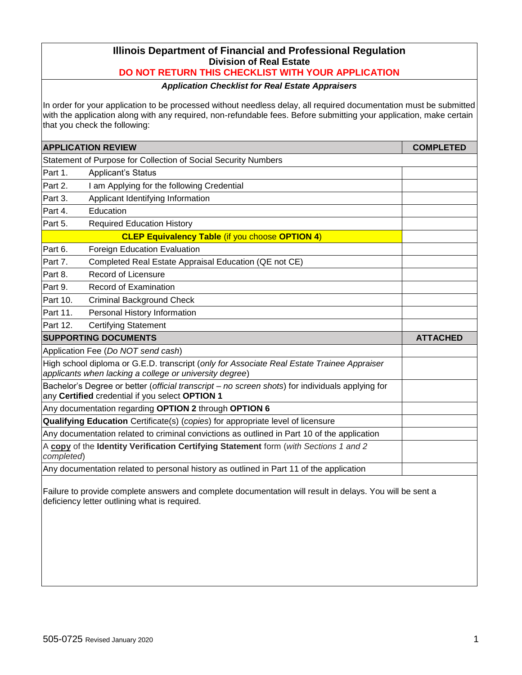# **Illinois Department of Financial and Professional Regulation Division of Real Estate**

## **DO NOT RETURN THIS CHECKLIST WITH YOUR APPLICATION**

## *Application Checklist for Real Estate Appraisers*

In order for your application to be processed without needless delay, all required documentation must be submitted with the application along with any required, non-refundable fees. Before submitting your application, make certain that you check the following:

|            | <b>APPLICATION REVIEW</b>                                                                                                                             | <b>COMPLETED</b> |
|------------|-------------------------------------------------------------------------------------------------------------------------------------------------------|------------------|
|            | Statement of Purpose for Collection of Social Security Numbers                                                                                        |                  |
| Part 1.    | <b>Applicant's Status</b>                                                                                                                             |                  |
| Part 2.    | I am Applying for the following Credential                                                                                                            |                  |
| Part 3.    | Applicant Identifying Information                                                                                                                     |                  |
| Part 4.    | Education                                                                                                                                             |                  |
| Part 5.    | <b>Required Education History</b>                                                                                                                     |                  |
|            | <b>CLEP Equivalency Table (if you choose OPTION 4)</b>                                                                                                |                  |
| Part 6.    | Foreign Education Evaluation                                                                                                                          |                  |
| Part 7.    | Completed Real Estate Appraisal Education (QE not CE)                                                                                                 |                  |
| Part 8.    | <b>Record of Licensure</b>                                                                                                                            |                  |
| Part 9.    | Record of Examination                                                                                                                                 |                  |
| Part 10.   | <b>Criminal Background Check</b>                                                                                                                      |                  |
| Part 11.   | Personal History Information                                                                                                                          |                  |
| Part 12.   | <b>Certifying Statement</b>                                                                                                                           |                  |
|            | <b>SUPPORTING DOCUMENTS</b>                                                                                                                           | <b>ATTACHED</b>  |
|            | Application Fee (Do NOT send cash)                                                                                                                    |                  |
|            | High school diploma or G.E.D. transcript (only for Associate Real Estate Trainee Appraiser<br>applicants when lacking a college or university degree) |                  |
|            | Bachelor's Degree or better (official transcript - no screen shots) for individuals applying for<br>any Certified credential if you select OPTION 1   |                  |
|            | Any documentation regarding OPTION 2 through OPTION 6                                                                                                 |                  |
|            | Qualifying Education Certificate(s) (copies) for appropriate level of licensure                                                                       |                  |
|            | Any documentation related to criminal convictions as outlined in Part 10 of the application                                                           |                  |
| completed) | A copy of the Identity Verification Certifying Statement form (with Sections 1 and 2                                                                  |                  |
|            | Any documentation related to personal history as outlined in Part 11 of the application                                                               |                  |

Failure to provide complete answers and complete documentation will result in delays. You will be sent a deficiency letter outlining what is required.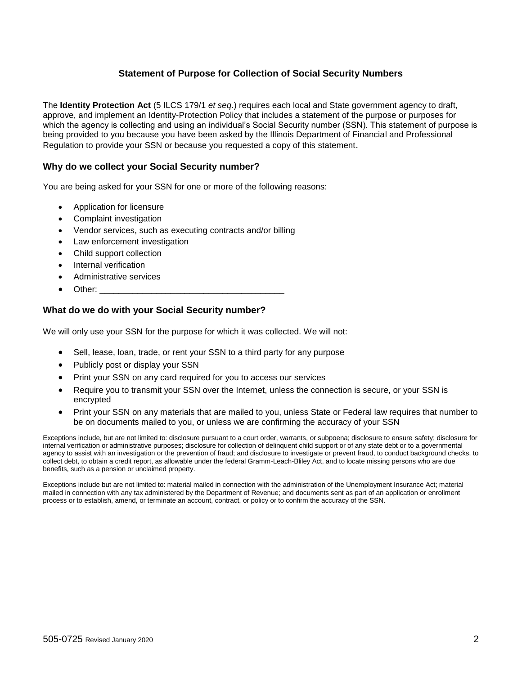### **Statement of Purpose for Collection of Social Security Numbers**

The **Identity Protection Act** (5 ILCS 179/1 *et seq*.) requires each local and State government agency to draft, approve, and implement an Identity-Protection Policy that includes a statement of the purpose or purposes for which the agency is collecting and using an individual's Social Security number (SSN). This statement of purpose is being provided to you because you have been asked by the Illinois Department of Financial and Professional Regulation to provide your SSN or because you requested a copy of this statement.

### **Why do we collect your Social Security number?**

You are being asked for your SSN for one or more of the following reasons:

- Application for licensure
- Complaint investigation
- Vendor services, such as executing contracts and/or billing
- Law enforcement investigation
- Child support collection
- Internal verification
- Administrative services
- Other:  $\_$

#### **What do we do with your Social Security number?**

We will only use your SSN for the purpose for which it was collected. We will not:

- Sell, lease, loan, trade, or rent your SSN to a third party for any purpose
- Publicly post or display your SSN
- Print your SSN on any card required for you to access our services
- Require you to transmit your SSN over the Internet, unless the connection is secure, or your SSN is encrypted
- Print your SSN on any materials that are mailed to you, unless State or Federal law requires that number to be on documents mailed to you, or unless we are confirming the accuracy of your SSN

Exceptions include, but are not limited to: disclosure pursuant to a court order, warrants, or subpoena; disclosure to ensure safety; disclosure for internal verification or administrative purposes; disclosure for collection of delinquent child support or of any state debt or to a governmental agency to assist with an investigation or the prevention of fraud; and disclosure to investigate or prevent fraud, to conduct background checks, to collect debt, to obtain a credit report, as allowable under the federal Gramm-Leach-Bliley Act, and to locate missing persons who are due benefits, such as a pension or unclaimed property.

Exceptions include but are not limited to: material mailed in connection with the administration of the Unemployment Insurance Act; material mailed in connection with any tax administered by the Department of Revenue; and documents sent as part of an application or enrollment process or to establish, amend, or terminate an account, contract, or policy or to confirm the accuracy of the SSN.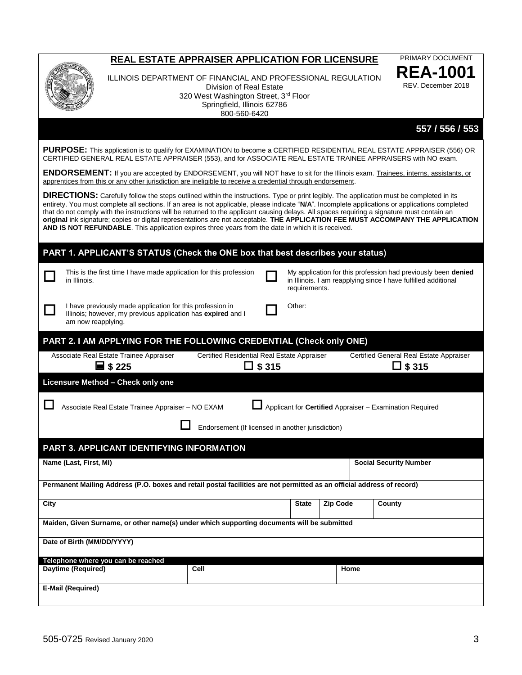|                                                                                                                        | REAL ESTATE APPRAISER APPLICATION FOR LICENSURE                                                                                                                                 |                                                   |               |               |                 | <b>PRIMARY DOCUMENT</b>                                                                                                                                                                                                                                                                                                                                                                                                                                                                                                                                                                |
|------------------------------------------------------------------------------------------------------------------------|---------------------------------------------------------------------------------------------------------------------------------------------------------------------------------|---------------------------------------------------|---------------|---------------|-----------------|----------------------------------------------------------------------------------------------------------------------------------------------------------------------------------------------------------------------------------------------------------------------------------------------------------------------------------------------------------------------------------------------------------------------------------------------------------------------------------------------------------------------------------------------------------------------------------------|
|                                                                                                                        | ILLINOIS DEPARTMENT OF FINANCIAL AND PROFESSIONAL REGULATION<br>Division of Real Estate<br>320 West Washington Street, 3rd Floor<br>Springfield, Illinois 62786<br>800-560-6420 |                                                   |               |               |                 |                                                                                                                                                                                                                                                                                                                                                                                                                                                                                                                                                                                        |
|                                                                                                                        |                                                                                                                                                                                 |                                                   |               |               |                 | 557 / 556 / 553                                                                                                                                                                                                                                                                                                                                                                                                                                                                                                                                                                        |
|                                                                                                                        |                                                                                                                                                                                 |                                                   |               |               |                 | PURPOSE: This application is to qualify for EXAMINATION to become a CERTIFIED RESIDENTIAL REAL ESTATE APPRAISER (556) OR<br>CERTIFIED GENERAL REAL ESTATE APPRAISER (553), and for ASSOCIATE REAL ESTATE TRAINEE APPRAISERS with NO exam.                                                                                                                                                                                                                                                                                                                                              |
|                                                                                                                        | apprentices from this or any other jurisdiction are ineligible to receive a credential through endorsement.                                                                     |                                                   |               |               |                 | ENDORSEMENT: If you are accepted by ENDORSEMENT, you will NOT have to sit for the Illinois exam. Trainees, interns, assistants, or                                                                                                                                                                                                                                                                                                                                                                                                                                                     |
|                                                                                                                        | AND IS NOT REFUNDABLE. This application expires three years from the date in which it is received.                                                                              |                                                   |               |               |                 | <b>DIRECTIONS:</b> Carefully follow the steps outlined within the instructions. Type or print legibly. The application must be completed in its<br>entirety. You must complete all sections. If an area is not applicable, please indicate "N/A". Incomplete applications or applications completed<br>that do not comply with the instructions will be returned to the applicant causing delays. All spaces requiring a signature must contain an<br>original ink signature; copies or digital representations are not acceptable. THE APPLICATION FEE MUST ACCOMPANY THE APPLICATION |
|                                                                                                                        | PART 1. APPLICANT'S STATUS (Check the ONE box that best describes your status)                                                                                                  |                                                   |               |               |                 |                                                                                                                                                                                                                                                                                                                                                                                                                                                                                                                                                                                        |
| in Illinois.                                                                                                           | This is the first time I have made application for this profession                                                                                                              |                                                   |               | requirements. |                 | My application for this profession had previously been denied<br>in Illinois. I am reapplying since I have fulfilled additional                                                                                                                                                                                                                                                                                                                                                                                                                                                        |
| am now reapplying.                                                                                                     | I have previously made application for this profession in<br>Illinois; however, my previous application has expired and I                                                       |                                                   |               | Other:        |                 |                                                                                                                                                                                                                                                                                                                                                                                                                                                                                                                                                                                        |
|                                                                                                                        | PART 2. I AM APPLYING FOR THE FOLLOWING CREDENTIAL (Check only ONE)                                                                                                             |                                                   |               |               |                 |                                                                                                                                                                                                                                                                                                                                                                                                                                                                                                                                                                                        |
|                                                                                                                        | Associate Real Estate Trainee Appraiser<br>$\equiv$ \$225                                                                                                                       | Certified Residential Real Estate Appraiser       | $\Box$ \$ 315 |               |                 | Certified General Real Estate Appraiser<br>$\Box$ \$ 315                                                                                                                                                                                                                                                                                                                                                                                                                                                                                                                               |
|                                                                                                                        | Licensure Method - Check only one                                                                                                                                               |                                                   |               |               |                 |                                                                                                                                                                                                                                                                                                                                                                                                                                                                                                                                                                                        |
|                                                                                                                        | Associate Real Estate Trainee Appraiser - NO EXAM                                                                                                                               |                                                   |               |               |                 | Applicant for Certified Appraiser - Examination Required                                                                                                                                                                                                                                                                                                                                                                                                                                                                                                                               |
|                                                                                                                        |                                                                                                                                                                                 | Endorsement (If licensed in another jurisdiction) |               |               |                 |                                                                                                                                                                                                                                                                                                                                                                                                                                                                                                                                                                                        |
|                                                                                                                        | PART 3. APPLICANT IDENTIFYING INFORMATION                                                                                                                                       |                                                   |               |               |                 |                                                                                                                                                                                                                                                                                                                                                                                                                                                                                                                                                                                        |
| Name (Last, First, MI)                                                                                                 |                                                                                                                                                                                 |                                                   |               |               |                 | <b>Social Security Number</b>                                                                                                                                                                                                                                                                                                                                                                                                                                                                                                                                                          |
| Permanent Mailing Address (P.O. boxes and retail postal facilities are not permitted as an official address of record) |                                                                                                                                                                                 |                                                   |               |               |                 |                                                                                                                                                                                                                                                                                                                                                                                                                                                                                                                                                                                        |
| City                                                                                                                   |                                                                                                                                                                                 |                                                   |               | <b>State</b>  | <b>Zip Code</b> | County                                                                                                                                                                                                                                                                                                                                                                                                                                                                                                                                                                                 |
| Maiden, Given Surname, or other name(s) under which supporting documents will be submitted                             |                                                                                                                                                                                 |                                                   |               |               |                 |                                                                                                                                                                                                                                                                                                                                                                                                                                                                                                                                                                                        |
| Date of Birth (MM/DD/YYYY)                                                                                             |                                                                                                                                                                                 |                                                   |               |               |                 |                                                                                                                                                                                                                                                                                                                                                                                                                                                                                                                                                                                        |
|                                                                                                                        | Telephone where you can be reached                                                                                                                                              |                                                   |               |               |                 |                                                                                                                                                                                                                                                                                                                                                                                                                                                                                                                                                                                        |
| Daytime (Required)                                                                                                     |                                                                                                                                                                                 | Cell                                              |               |               | Home            |                                                                                                                                                                                                                                                                                                                                                                                                                                                                                                                                                                                        |
| E-Mail (Required)                                                                                                      |                                                                                                                                                                                 |                                                   |               |               |                 |                                                                                                                                                                                                                                                                                                                                                                                                                                                                                                                                                                                        |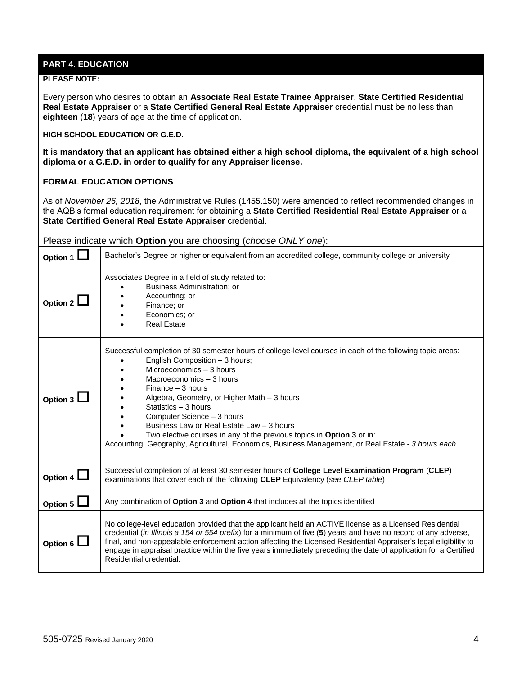## **PART 4. EDUCATION**

#### **PLEASE NOTE:**

Every person who desires to obtain an **Associate Real Estate Trainee Appraiser**, **State Certified Residential Real Estate Appraiser** or a **State Certified General Real Estate Appraiser** credential must be no less than **eighteen** (**18**) years of age at the time of application.

**HIGH SCHOOL EDUCATION OR G.E.D.**

**It is mandatory that an applicant has obtained either a high school diploma, the equivalent of a high school diploma or a G.E.D. in order to qualify for any Appraiser license.** 

#### **FORMAL EDUCATION OPTIONS**

As of *November 26, 2018*, the Administrative Rules (1455.150) were amended to reflect recommended changes in the AQB's formal education requirement for obtaining a **State Certified Residential Real Estate Appraiser** or a **State Certified General Real Estate Appraiser** credential.

Please indicate which **Option** you are choosing (*choose ONLY one*):

| Option 1 $\Box$ | Bachelor's Degree or higher or equivalent from an accredited college, community college or university                                                                                                                                                                                                                                                                                                                                                                                                                                                        |  |  |
|-----------------|--------------------------------------------------------------------------------------------------------------------------------------------------------------------------------------------------------------------------------------------------------------------------------------------------------------------------------------------------------------------------------------------------------------------------------------------------------------------------------------------------------------------------------------------------------------|--|--|
| Option 2 $\Box$ | Associates Degree in a field of study related to:<br>Business Administration; or<br>Accounting: or<br>Finance; or<br>Economics; or<br><b>Real Estate</b>                                                                                                                                                                                                                                                                                                                                                                                                     |  |  |
| Option $3l$     | Successful completion of 30 semester hours of college-level courses in each of the following topic areas:<br>English Composition - 3 hours;<br>Microeconomics - 3 hours<br>Macroeconomics - 3 hours<br>$Financee - 3 hours$<br>Algebra, Geometry, or Higher Math - 3 hours<br>Statistics - 3 hours<br>Computer Science - 3 hours<br>Business Law or Real Estate Law - 3 hours<br>Two elective courses in any of the previous topics in Option 3 or in:<br>Accounting, Geography, Agricultural, Economics, Business Management, or Real Estate - 3 hours each |  |  |
| Option 4 $\Box$ | Successful completion of at least 30 semester hours of College Level Examination Program (CLEP)<br>examinations that cover each of the following CLEP Equivalency (see CLEP table)                                                                                                                                                                                                                                                                                                                                                                           |  |  |
| Option 5 $L$    | Any combination of Option 3 and Option 4 that includes all the topics identified                                                                                                                                                                                                                                                                                                                                                                                                                                                                             |  |  |
| Option 6 $\Box$ | No college-level education provided that the applicant held an ACTIVE license as a Licensed Residential<br>credential (in Illinois a 154 or 554 prefix) for a minimum of five (5) years and have no record of any adverse,<br>final, and non-appealable enforcement action affecting the Licensed Residential Appraiser's legal eligibility to<br>engage in appraisal practice within the five years immediately preceding the date of application for a Certified<br>Residential credential.                                                                |  |  |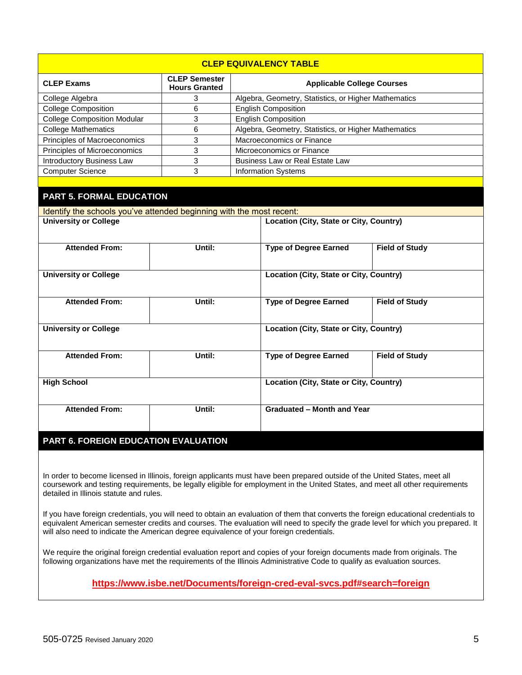| <b>CLEP EQUIVALENCY TABLE</b>                                        |        |  |                                                      |                       |  |  |  |
|----------------------------------------------------------------------|--------|--|------------------------------------------------------|-----------------------|--|--|--|
| <b>CLEP Semester</b><br><b>CLEP Exams</b><br><b>Hours Granted</b>    |        |  | <b>Applicable College Courses</b>                    |                       |  |  |  |
| College Algebra                                                      | 3      |  | Algebra, Geometry, Statistics, or Higher Mathematics |                       |  |  |  |
| <b>College Composition</b>                                           | 6      |  | <b>English Composition</b>                           |                       |  |  |  |
| <b>College Composition Modular</b>                                   | 3      |  | <b>English Composition</b>                           |                       |  |  |  |
| <b>College Mathematics</b>                                           | 6      |  | Algebra, Geometry, Statistics, or Higher Mathematics |                       |  |  |  |
| Principles of Macroeconomics                                         | 3      |  | Macroeconomics or Finance                            |                       |  |  |  |
| Principles of Microeconomics                                         | 3      |  | Microeconomics or Finance                            |                       |  |  |  |
| <b>Introductory Business Law</b>                                     | 3      |  | <b>Business Law or Real Estate Law</b>               |                       |  |  |  |
| <b>Computer Science</b>                                              | 3      |  | <b>Information Systems</b>                           |                       |  |  |  |
|                                                                      |        |  |                                                      |                       |  |  |  |
| <b>PART 5. FORMAL EDUCATION</b>                                      |        |  |                                                      |                       |  |  |  |
| Identify the schools you've attended beginning with the most recent: |        |  |                                                      |                       |  |  |  |
| <b>University or College</b>                                         |        |  | <b>Location (City, State or City, Country)</b>       |                       |  |  |  |
| <b>Attended From:</b>                                                | Until: |  | <b>Type of Degree Earned</b>                         | <b>Field of Study</b> |  |  |  |
| <b>University or College</b>                                         |        |  | <b>Location (City, State or City, Country)</b>       |                       |  |  |  |
| <b>Attended From:</b>                                                | Until: |  | <b>Type of Degree Earned</b>                         | <b>Field of Study</b> |  |  |  |
| <b>University or College</b>                                         |        |  | <b>Location (City, State or City, Country)</b>       |                       |  |  |  |
| <b>Attended From:</b>                                                | Until: |  | <b>Type of Degree Earned</b>                         | <b>Field of Study</b> |  |  |  |
| <b>High School</b>                                                   |        |  | <b>Location (City, State or City, Country)</b>       |                       |  |  |  |
| <b>Attended From:</b>                                                | Until: |  | <b>Graduated - Month and Year</b>                    |                       |  |  |  |
| PART 6. FOREIGN EDUCATION EVALUATION                                 |        |  |                                                      |                       |  |  |  |

In order to become licensed in Illinois, foreign applicants must have been prepared outside of the United States, meet all coursework and testing requirements, be legally eligible for employment in the United States, and meet all other requirements detailed in Illinois statute and rules.

If you have foreign credentials, you will need to obtain an evaluation of them that converts the foreign educational credentials to equivalent American semester credits and courses. The evaluation will need to specify the grade level for which you prepared. It will also need to indicate the American degree equivalence of your foreign credentials.

We require the original foreign credential evaluation report and copies of your foreign documents made from originals. The following organizations have met the requirements of the Illinois Administrative Code to qualify as evaluation sources.

**<https://www.isbe.net/Documents/foreign-cred-eval-svcs.pdf#search=foreign>**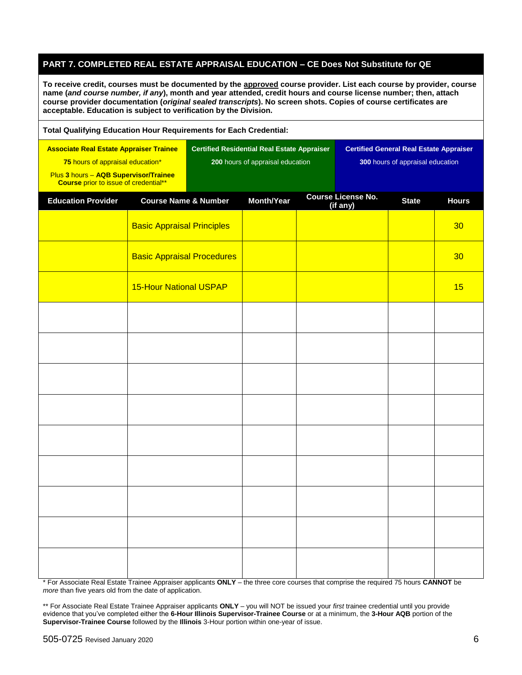### **PART 7. COMPLETED REAL ESTATE APPRAISAL EDUCATION – CE Does Not Substitute for QE**

**To receive credit, courses must be documented by the approved course provider. List each course by provider, course name (***and course number, if any***), month and year attended, credit hours and course license number; then, attach course provider documentation (***original sealed transcripts***). No screen shots. Copies of course certificates are acceptable. Education is subject to verification by the Division.**

| <b>Total Qualifying Education Hour Requirements for Each Credential:</b>                                                                                                    |                                   |  |                                                                                        |  |                                                                                    |              |              |  |
|-----------------------------------------------------------------------------------------------------------------------------------------------------------------------------|-----------------------------------|--|----------------------------------------------------------------------------------------|--|------------------------------------------------------------------------------------|--------------|--------------|--|
| <b>Associate Real Estate Appraiser Trainee</b><br>75 hours of appraisal education*<br>Plus 3 hours - AQB Supervisor/Trainee<br><b>Course</b> prior to issue of credential** |                                   |  | <b>Certified Residential Real Estate Appraiser</b><br>200 hours of appraisal education |  | <b>Certified General Real Estate Appraiser</b><br>300 hours of appraisal education |              |              |  |
| <b>Education Provider</b>                                                                                                                                                   | <b>Course Name &amp; Number</b>   |  | <b>Month/Year</b>                                                                      |  | <b>Course License No.</b><br>(if any)                                              | <b>State</b> | <b>Hours</b> |  |
|                                                                                                                                                                             | <b>Basic Appraisal Principles</b> |  |                                                                                        |  |                                                                                    |              | 30           |  |
|                                                                                                                                                                             | <b>Basic Appraisal Procedures</b> |  |                                                                                        |  |                                                                                    |              | 30           |  |
|                                                                                                                                                                             | <b>15-Hour National USPAP</b>     |  |                                                                                        |  |                                                                                    |              | 15           |  |
|                                                                                                                                                                             |                                   |  |                                                                                        |  |                                                                                    |              |              |  |
|                                                                                                                                                                             |                                   |  |                                                                                        |  |                                                                                    |              |              |  |
|                                                                                                                                                                             |                                   |  |                                                                                        |  |                                                                                    |              |              |  |
|                                                                                                                                                                             |                                   |  |                                                                                        |  |                                                                                    |              |              |  |
|                                                                                                                                                                             |                                   |  |                                                                                        |  |                                                                                    |              |              |  |
|                                                                                                                                                                             |                                   |  |                                                                                        |  |                                                                                    |              |              |  |
|                                                                                                                                                                             |                                   |  |                                                                                        |  |                                                                                    |              |              |  |
|                                                                                                                                                                             |                                   |  |                                                                                        |  |                                                                                    |              |              |  |
|                                                                                                                                                                             |                                   |  |                                                                                        |  |                                                                                    |              |              |  |

\* For Associate Real Estate Trainee Appraiser applicants **ONLY** – the three core courses that comprise the required 75 hours **CANNOT** be *more* than five years old from the date of application.

\*\* For Associate Real Estate Trainee Appraiser applicants **ONLY** – you will NOT be issued your *first* trainee credential until you provide evidence that you've completed either the **6-Hour Illinois Supervisor-Trainee Course** or at a minimum, the **3-Hour AQB** portion of the **Supervisor-Trainee Course** followed by the **Illinois** 3-Hour portion within one-year of issue.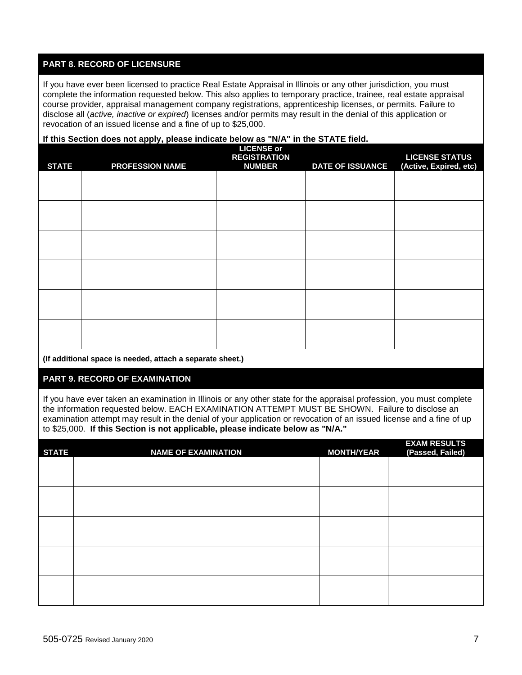## **PART 8. RECORD OF LICENSURE**

If you have ever been licensed to practice Real Estate Appraisal in Illinois or any other jurisdiction, you must complete the information requested below. This also applies to temporary practice, trainee, real estate appraisal course provider, appraisal management company registrations, apprenticeship licenses, or permits. Failure to disclose all (*active, inactive or expired*) licenses and/or permits may result in the denial of this application or revocation of an issued license and a fine of up to \$25,000.

#### **If this Section does not apply, please indicate below as "N/A" in the STATE field.**

| <b>STATE</b> | <b>PROFESSION NAME</b> | <b>LICENSE or</b><br><b>REGISTRATION</b><br><b>NUMBER</b> | <b>DATE OF ISSUANCE</b> | <b>LICENSE STATUS</b><br>(Active, Expired, etc) |
|--------------|------------------------|-----------------------------------------------------------|-------------------------|-------------------------------------------------|
|              |                        |                                                           |                         |                                                 |
|              |                        |                                                           |                         |                                                 |
|              |                        |                                                           |                         |                                                 |
|              |                        |                                                           |                         |                                                 |
|              |                        |                                                           |                         |                                                 |
|              |                        |                                                           |                         |                                                 |
|              |                        |                                                           |                         |                                                 |

**(If additional space is needed, attach a separate sheet.)**

## **PART 9. RECORD OF EXAMINATION**

If you have ever taken an examination in Illinois or any other state for the appraisal profession, you must complete the information requested below. EACH EXAMINATION ATTEMPT MUST BE SHOWN. Failure to disclose an examination attempt may result in the denial of your application or revocation of an issued license and a fine of up to \$25,000. **If this Section is not applicable, please indicate below as "N/A."**

| <b>STATE</b> | <b>NAME OF EXAMINATION</b> | <b>MONTH/YEAR</b> | <b>EXAM RESULTS</b><br>(Passed, Failed) |
|--------------|----------------------------|-------------------|-----------------------------------------|
|              |                            |                   |                                         |
|              |                            |                   |                                         |
|              |                            |                   |                                         |
|              |                            |                   |                                         |
|              |                            |                   |                                         |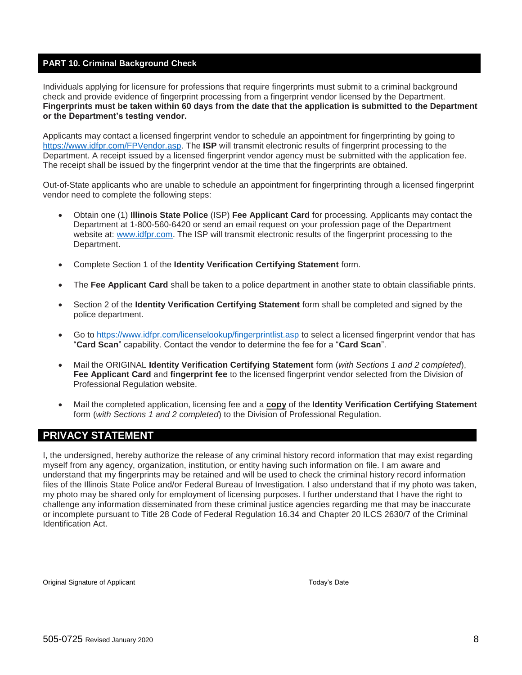### **PART 10. Criminal Background Check**

Individuals applying for licensure for professions that require fingerprints must submit to a criminal background check and provide evidence of fingerprint processing from a fingerprint vendor licensed by the Department. **Fingerprints must be taken within 60 days from the date that the application is submitted to the Department or the Department's testing vendor.**

Applicants may contact a licensed fingerprint vendor to schedule an appointment for fingerprinting by going to [https://www.idfpr.com/FPVendor.asp.](https://www.idfpr.com/FPVendor.asp) The **ISP** will transmit electronic results of fingerprint processing to the Department. A receipt issued by a licensed fingerprint vendor agency must be submitted with the application fee. The receipt shall be issued by the fingerprint vendor at the time that the fingerprints are obtained.

Out-of-State applicants who are unable to schedule an appointment for fingerprinting through a licensed fingerprint vendor need to complete the following steps:

- Obtain one (1) **Illinois State Police** (ISP) **Fee Applicant Card** for processing. Applicants may contact the Department at 1-800-560-6420 or send an email request on your profession page of the Department website at: [www.idfpr.com.](http://www.idfpr.com/) The ISP will transmit electronic results of the fingerprint processing to the Department.
- Complete Section 1 of the **Identity Verification Certifying Statement** form.
- The **Fee Applicant Card** shall be taken to a police department in another state to obtain classifiable prints.
- Section 2 of the **Identity Verification Certifying Statement** form shall be completed and signed by the police department.
- Go to<https://www.idfpr.com/licenselookup/fingerprintlist.asp> to select a licensed fingerprint vendor that has "**Card Scan**" capability. Contact the vendor to determine the fee for a "**Card Scan**".
- Mail the ORIGINAL **Identity Verification Certifying Statement** form (*with Sections 1 and 2 completed*), **Fee Applicant Card** and **fingerprint fee** to the licensed fingerprint vendor selected from the Division of Professional Regulation website.
- Mail the completed application, licensing fee and a **copy** of the **Identity Verification Certifying Statement** form (*with Sections 1 and 2 completed*) to the Division of Professional Regulation.

## **PRIVACY STATEMENT**

I, the undersigned, hereby authorize the release of any criminal history record information that may exist regarding myself from any agency, organization, institution, or entity having such information on file. I am aware and understand that my fingerprints may be retained and will be used to check the criminal history record information files of the Illinois State Police and/or Federal Bureau of Investigation. I also understand that if my photo was taken, my photo may be shared only for employment of licensing purposes. I further understand that I have the right to challenge any information disseminated from these criminal justice agencies regarding me that may be inaccurate or incomplete pursuant to Title 28 Code of Federal Regulation 16.34 and Chapter 20 ILCS 2630/7 of the Criminal Identification Act.

Original Signature of Applicant The Contract of Applicant Today's Date Today's Date